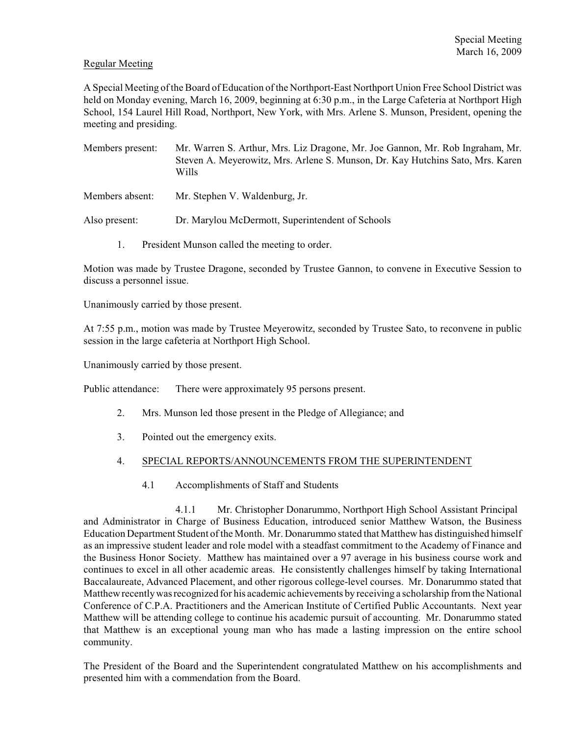# Regular Meeting

A Special Meeting of the Board of Education of the Northport-East Northport Union Free School District was held on Monday evening, March 16, 2009, beginning at 6:30 p.m., in the Large Cafeteria at Northport High School, 154 Laurel Hill Road, Northport, New York, with Mrs. Arlene S. Munson, President, opening the meeting and presiding.

- Members present: Mr. Warren S. Arthur, Mrs. Liz Dragone, Mr. Joe Gannon, Mr. Rob Ingraham, Mr. Steven A. Meyerowitz, Mrs. Arlene S. Munson, Dr. Kay Hutchins Sato, Mrs. Karen Wills
- Members absent: Mr. Stephen V. Waldenburg, Jr.
- Also present: Dr. Marylou McDermott, Superintendent of Schools
	- 1. President Munson called the meeting to order.

Motion was made by Trustee Dragone, seconded by Trustee Gannon, to convene in Executive Session to discuss a personnel issue.

Unanimously carried by those present.

At 7:55 p.m., motion was made by Trustee Meyerowitz, seconded by Trustee Sato, to reconvene in public session in the large cafeteria at Northport High School.

Unanimously carried by those present.

Public attendance: There were approximately 95 persons present.

- 2. Mrs. Munson led those present in the Pledge of Allegiance; and
- 3. Pointed out the emergency exits.

## 4. SPECIAL REPORTS/ANNOUNCEMENTS FROM THE SUPERINTENDENT

4.1 Accomplishments of Staff and Students

4.1.1 Mr. Christopher Donarummo, Northport High School Assistant Principal and Administrator in Charge of Business Education, introduced senior Matthew Watson, the Business Education Department Student of the Month. Mr. Donarummo stated that Matthew has distinguished himself as an impressive student leader and role model with a steadfast commitment to the Academy of Finance and the Business Honor Society. Matthew has maintained over a 97 average in his business course work and continues to excel in all other academic areas. He consistently challenges himself by taking International Baccalaureate, Advanced Placement, and other rigorous college-level courses. Mr. Donarummo stated that Matthew recentlywas recognized for his academic achievements by receiving a scholarship from the National Conference of C.P.A. Practitioners and the American Institute of Certified Public Accountants. Next year Matthew will be attending college to continue his academic pursuit of accounting. Mr. Donarummo stated that Matthew is an exceptional young man who has made a lasting impression on the entire school community.

The President of the Board and the Superintendent congratulated Matthew on his accomplishments and presented him with a commendation from the Board.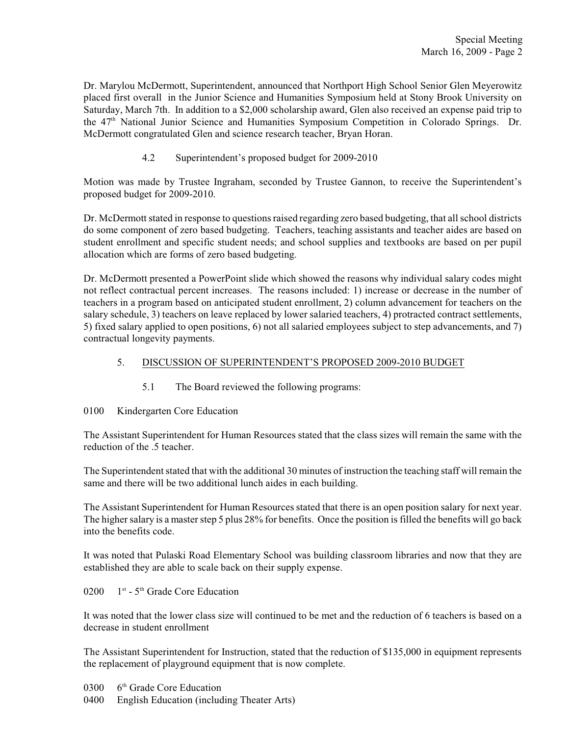Dr. Marylou McDermott, Superintendent, announced that Northport High School Senior Glen Meyerowitz placed first overall in the Junior Science and Humanities Symposium held at Stony Brook University on Saturday, March 7th. In addition to a \$2,000 scholarship award, Glen also received an expense paid trip to the 47<sup>th</sup> National Junior Science and Humanities Symposium Competition in Colorado Springs. Dr. McDermott congratulated Glen and science research teacher, Bryan Horan.

4.2 Superintendent's proposed budget for 2009-2010

Motion was made by Trustee Ingraham, seconded by Trustee Gannon, to receive the Superintendent's proposed budget for 2009-2010.

Dr. McDermott stated in response to questions raised regarding zero based budgeting, that all school districts do some component of zero based budgeting. Teachers, teaching assistants and teacher aides are based on student enrollment and specific student needs; and school supplies and textbooks are based on per pupil allocation which are forms of zero based budgeting.

Dr. McDermott presented a PowerPoint slide which showed the reasons why individual salary codes might not reflect contractual percent increases. The reasons included: 1) increase or decrease in the number of teachers in a program based on anticipated student enrollment, 2) column advancement for teachers on the salary schedule, 3) teachers on leave replaced by lower salaried teachers, 4) protracted contract settlements, 5) fixed salary applied to open positions, 6) not all salaried employees subject to step advancements, and 7) contractual longevity payments.

# 5. DISCUSSION OF SUPERINTENDENT'S PROPOSED 2009-2010 BUDGET

5.1 The Board reviewed the following programs:

0100 Kindergarten Core Education

The Assistant Superintendent for Human Resources stated that the class sizes will remain the same with the reduction of the .5 teacher.

The Superintendent stated that with the additional 30 minutes of instruction the teaching staff will remain the same and there will be two additional lunch aides in each building.

The Assistant Superintendent for Human Resources stated that there is an open position salary for next year. The higher salary is a master step 5 plus 28% for benefits. Once the position is filled the benefits will go back into the benefits code.

It was noted that Pulaski Road Elementary School was building classroom libraries and now that they are established they are able to scale back on their supply expense.

0200  $1<sup>st</sup>$  - 5<sup>th</sup> Grade Core Education

It was noted that the lower class size will continued to be met and the reduction of 6 teachers is based on a decrease in student enrollment

The Assistant Superintendent for Instruction, stated that the reduction of \$135,000 in equipment represents the replacement of playground equipment that is now complete.

- 0300  $6<sup>th</sup>$  Grade Core Education
- 0400 English Education (including Theater Arts)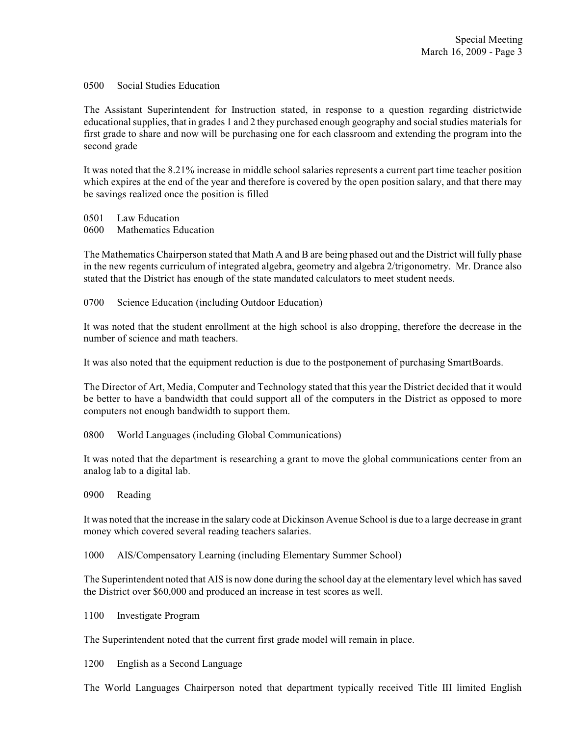## 0500 Social Studies Education

The Assistant Superintendent for Instruction stated, in response to a question regarding districtwide educational supplies, that in grades 1 and 2 they purchased enough geography and social studies materials for first grade to share and now will be purchasing one for each classroom and extending the program into the second grade

It was noted that the 8.21% increase in middle school salaries represents a current part time teacher position which expires at the end of the year and therefore is covered by the open position salary, and that there may be savings realized once the position is filled

0501 Law Education

0600 Mathematics Education

The Mathematics Chairperson stated that Math A and B are being phased out and the District will fully phase in the new regents curriculum of integrated algebra, geometry and algebra 2/trigonometry. Mr. Drance also stated that the District has enough of the state mandated calculators to meet student needs.

0700 Science Education (including Outdoor Education)

It was noted that the student enrollment at the high school is also dropping, therefore the decrease in the number of science and math teachers.

It was also noted that the equipment reduction is due to the postponement of purchasing SmartBoards.

The Director of Art, Media, Computer and Technology stated that this year the District decided that it would be better to have a bandwidth that could support all of the computers in the District as opposed to more computers not enough bandwidth to support them.

0800 World Languages (including Global Communications)

It was noted that the department is researching a grant to move the global communications center from an analog lab to a digital lab.

0900 Reading

It was noted that the increase in the salary code at Dickinson Avenue School is due to a large decrease in grant money which covered several reading teachers salaries.

1000 AIS/Compensatory Learning (including Elementary Summer School)

The Superintendent noted that AIS is now done during the school day at the elementary level which has saved the District over \$60,000 and produced an increase in test scores as well.

1100 Investigate Program

The Superintendent noted that the current first grade model will remain in place.

1200 English as a Second Language

The World Languages Chairperson noted that department typically received Title III limited English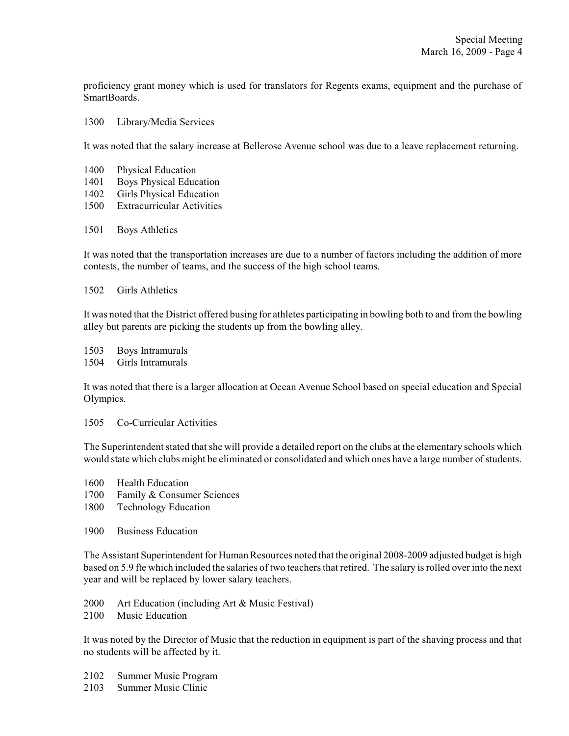proficiency grant money which is used for translators for Regents exams, equipment and the purchase of SmartBoards.

#### 1300 Library/Media Services

It was noted that the salary increase at Bellerose Avenue school was due to a leave replacement returning.

- 1400 Physical Education
- 1401 Boys Physical Education
- 1402 Girls Physical Education
- 1500 Extracurricular Activities
- 1501 Boys Athletics

It was noted that the transportation increases are due to a number of factors including the addition of more contests, the number of teams, and the success of the high school teams.

1502 Girls Athletics

It was noted that the District offered busing for athletes participating in bowling both to and from the bowling alley but parents are picking the students up from the bowling alley.

1503 Boys Intramurals

1504 Girls Intramurals

It was noted that there is a larger allocation at Ocean Avenue School based on special education and Special Olympics.

1505 Co-Curricular Activities

The Superintendent stated that she will provide a detailed report on the clubs at the elementary schools which would state which clubs might be eliminated or consolidated and which ones have a large number of students.

- 1600 Health Education
- 1700 Family & Consumer Sciences
- 1800 Technology Education
- 1900 Business Education

The Assistant Superintendent for Human Resources noted that the original 2008-2009 adjusted budget is high based on 5.9 fte which included the salaries of two teachers that retired. The salary is rolled over into the next year and will be replaced by lower salary teachers.

- 2000 Art Education (including Art & Music Festival)
- 2100 Music Education

It was noted by the Director of Music that the reduction in equipment is part of the shaving process and that no students will be affected by it.

- 2102 Summer Music Program
- 2103 Summer Music Clinic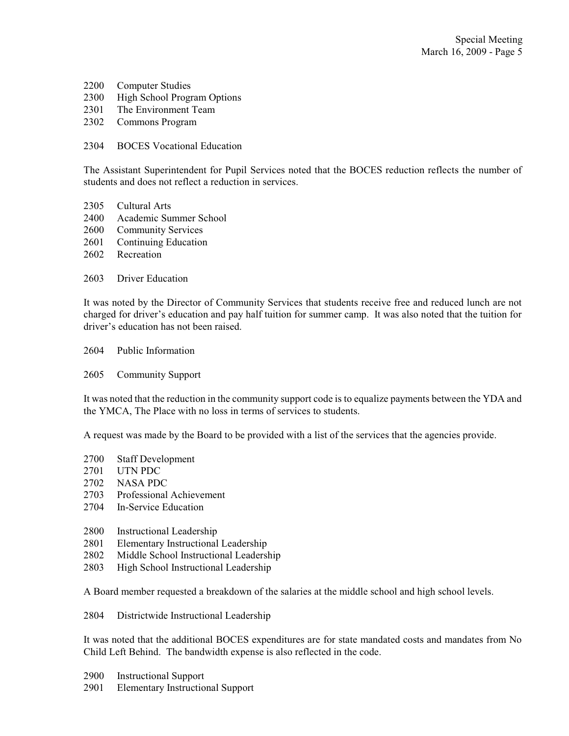- Computer Studies
- High School Program Options
- The Environment Team
- Commons Program
- BOCES Vocational Education

The Assistant Superintendent for Pupil Services noted that the BOCES reduction reflects the number of students and does not reflect a reduction in services.

- Cultural Arts
- Academic Summer School
- Community Services
- Continuing Education
- Recreation
- Driver Education

It was noted by the Director of Community Services that students receive free and reduced lunch are not charged for driver's education and pay half tuition for summer camp. It was also noted that the tuition for driver's education has not been raised.

- Public Information
- Community Support

It was noted that the reduction in the community support code is to equalize payments between the YDA and the YMCA, The Place with no loss in terms of services to students.

A request was made by the Board to be provided with a list of the services that the agencies provide.

- Staff Development
- UTN PDC
- NASA PDC
- Professional Achievement
- In-Service Education
- Instructional Leadership
- Elementary Instructional Leadership
- Middle School Instructional Leadership
- High School Instructional Leadership

A Board member requested a breakdown of the salaries at the middle school and high school levels.

Districtwide Instructional Leadership

It was noted that the additional BOCES expenditures are for state mandated costs and mandates from No Child Left Behind. The bandwidth expense is also reflected in the code.

- Instructional Support
- Elementary Instructional Support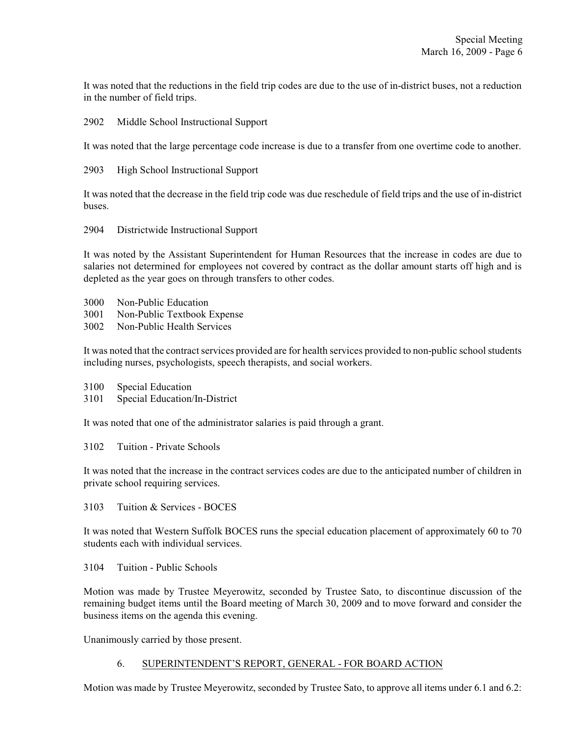It was noted that the reductions in the field trip codes are due to the use of in-district buses, not a reduction in the number of field trips.

2902 Middle School Instructional Support

It was noted that the large percentage code increase is due to a transfer from one overtime code to another.

2903 High School Instructional Support

It was noted that the decrease in the field trip code was due reschedule of field trips and the use of in-district buses.

2904 Districtwide Instructional Support

It was noted by the Assistant Superintendent for Human Resources that the increase in codes are due to salaries not determined for employees not covered by contract as the dollar amount starts off high and is depleted as the year goes on through transfers to other codes.

- 3000 Non-Public Education
- 3001 Non-Public Textbook Expense
- 3002 Non-Public Health Services

It was noted that the contract services provided are for health services provided to non-public school students including nurses, psychologists, speech therapists, and social workers.

- 3100 Special Education
- 3101 Special Education/In-District

It was noted that one of the administrator salaries is paid through a grant.

3102 Tuition - Private Schools

It was noted that the increase in the contract services codes are due to the anticipated number of children in private school requiring services.

3103 Tuition & Services - BOCES

It was noted that Western Suffolk BOCES runs the special education placement of approximately 60 to 70 students each with individual services.

3104 Tuition - Public Schools

Motion was made by Trustee Meyerowitz, seconded by Trustee Sato, to discontinue discussion of the remaining budget items until the Board meeting of March 30, 2009 and to move forward and consider the business items on the agenda this evening.

Unanimously carried by those present.

## 6. SUPERINTENDENT'S REPORT, GENERAL - FOR BOARD ACTION

Motion was made by Trustee Meyerowitz, seconded by Trustee Sato, to approve all items under 6.1 and 6.2: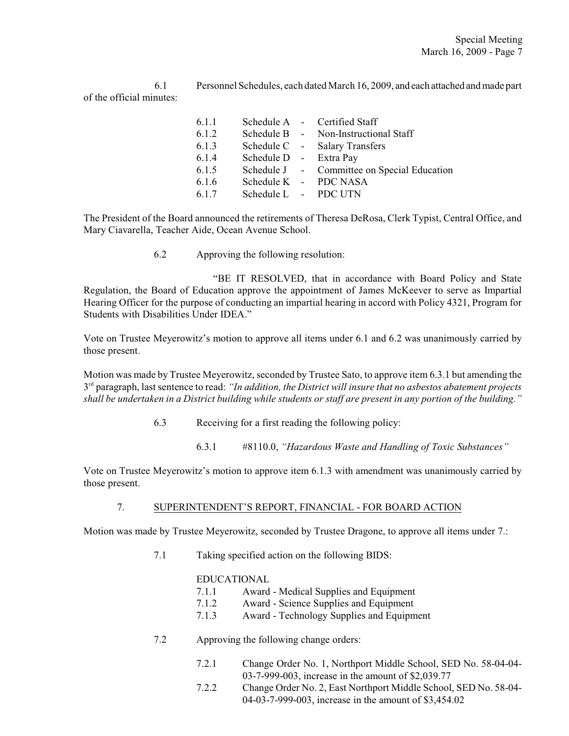6.1 Personnel Schedules, each dated March 16, 2009, and each attached and made part of the official minutes:

| Schedule A - Certified Staff                |
|---------------------------------------------|
| Schedule B - Non-Instructional Staff        |
| Schedule C - Salary Transfers               |
| Schedule D - Extra Pay                      |
| Schedule J - Committee on Special Education |
| Schedule K - PDC NASA                       |
| Schedule L - PDC UTN                        |
|                                             |

The President of the Board announced the retirements of Theresa DeRosa, Clerk Typist, Central Office, and Mary Ciavarella, Teacher Aide, Ocean Avenue School.

6.2 Approving the following resolution:

"BE IT RESOLVED, that in accordance with Board Policy and State Regulation, the Board of Education approve the appointment of James McKeever to serve as Impartial Hearing Officer for the purpose of conducting an impartial hearing in accord with Policy 4321, Program for Students with Disabilities Under IDEA."

Vote on Trustee Meyerowitz's motion to approve all items under 6.1 and 6.2 was unanimously carried by those present.

Motion was made by Trustee Meyerowitz, seconded by Trustee Sato, to approve item 6.3.1 but amending the 3<sup>rd</sup> paragraph, last sentence to read: *"In addition, the District will insure that no asbestos abatement projects shall be undertaken in a District building while students or staff are present in any portion of the building."*

6.3 Receiving for a first reading the following policy:

6.3.1 #8110.0, *"Hazardous Waste and Handling of Toxic Substances"*

Vote on Trustee Meyerowitz's motion to approve item 6.1.3 with amendment was unanimously carried by those present.

## 7. SUPERINTENDENT'S REPORT, FINANCIAL - FOR BOARD ACTION

Motion was made by Trustee Meyerowitz, seconded by Trustee Dragone, to approve all items under 7.:

7.1 Taking specified action on the following BIDS:

## EDUCATIONAL

- 7.1.1 Award Medical Supplies and Equipment
- 7.1.2 Award Science Supplies and Equipment
- 7.1.3 Award Technology Supplies and Equipment
- 7.2 Approving the following change orders:
	- 7.2.1 Change Order No. 1, Northport Middle School, SED No. 58-04-04- 03-7-999-003, increase in the amount of \$2,039.77
	- 7.2.2 Change Order No. 2, East Northport Middle School, SED No. 58-04- 04-03-7-999-003, increase in the amount of \$3,454.02